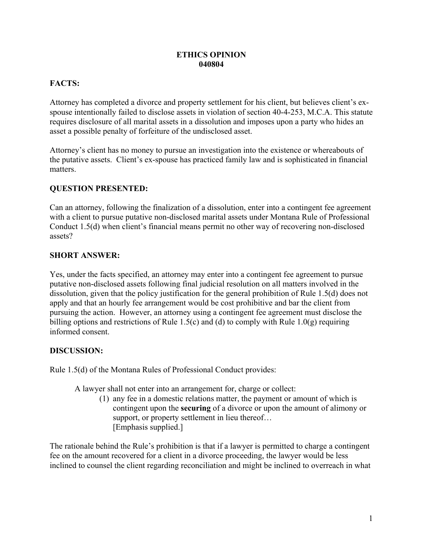#### **ETHICS OPINION 040804**

## **FACTS:**

Attorney has completed a divorce and property settlement for his client, but believes client's exspouse intentionally failed to disclose assets in violation of section 40-4-253, M.C.A. This statute requires disclosure of all marital assets in a dissolution and imposes upon a party who hides an asset a possible penalty of forfeiture of the undisclosed asset.

Attorney's client has no money to pursue an investigation into the existence or whereabouts of the putative assets. Client's ex-spouse has practiced family law and is sophisticated in financial matters.

## **QUESTION PRESENTED:**

Can an attorney, following the finalization of a dissolution, enter into a contingent fee agreement with a client to pursue putative non-disclosed marital assets under Montana Rule of Professional Conduct 1.5(d) when client's financial means permit no other way of recovering non-disclosed assets?

### **SHORT ANSWER:**

Yes, under the facts specified, an attorney may enter into a contingent fee agreement to pursue putative non-disclosed assets following final judicial resolution on all matters involved in the dissolution, given that the policy justification for the general prohibition of Rule 1.5(d) does not apply and that an hourly fee arrangement would be cost prohibitive and bar the client from pursuing the action. However, an attorney using a contingent fee agreement must disclose the billing options and restrictions of Rule 1.5(c) and (d) to comply with Rule 1.0(g) requiring informed consent.

### **DISCUSSION:**

Rule 1.5(d) of the Montana Rules of Professional Conduct provides:

A lawyer shall not enter into an arrangement for, charge or collect:

(1) any fee in a domestic relations matter, the payment or amount of which is contingent upon the **securing** of a divorce or upon the amount of alimony or support, or property settlement in lieu thereof... [Emphasis supplied.]

The rationale behind the Rule's prohibition is that if a lawyer is permitted to charge a contingent fee on the amount recovered for a client in a divorce proceeding, the lawyer would be less inclined to counsel the client regarding reconciliation and might be inclined to overreach in what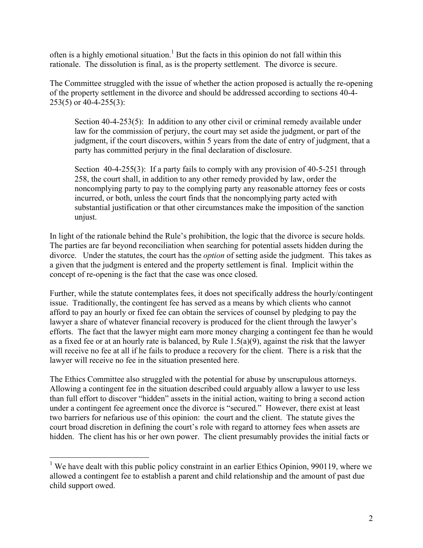often is a highly emotional situation.<sup>1</sup> But the facts in this opinion do not fall within this rationale. The dissolution is final, as is the property settlement. The divorce is secure.

The Committee struggled with the issue of whether the action proposed is actually the re-opening of the property settlement in the divorce and should be addressed according to sections 40-4- 253(5) or 40-4-255(3):

Section 40-4-253(5): In addition to any other civil or criminal remedy available under law for the commission of perjury, the court may set aside the judgment, or part of the judgment, if the court discovers, within 5 years from the date of entry of judgment, that a party has committed perjury in the final declaration of disclosure.

Section 40-4-255(3): If a party fails to comply with any provision of 40-5-251 through 258, the court shall, in addition to any other remedy provided by law, order the noncomplying party to pay to the complying party any reasonable attorney fees or costs incurred, or both, unless the court finds that the noncomplying party acted with substantial justification or that other circumstances make the imposition of the sanction unjust.

In light of the rationale behind the Rule's prohibition, the logic that the divorce is secure holds. The parties are far beyond reconciliation when searching for potential assets hidden during the divorce. Under the statutes, the court has the *option* of setting aside the judgment. This takes as a given that the judgment is entered and the property settlement is final. Implicit within the concept of re-opening is the fact that the case was once closed.

Further, while the statute contemplates fees, it does not specifically address the hourly/contingent issue. Traditionally, the contingent fee has served as a means by which clients who cannot afford to pay an hourly or fixed fee can obtain the services of counsel by pledging to pay the lawyer a share of whatever financial recovery is produced for the client through the lawyer's efforts. The fact that the lawyer might earn more money charging a contingent fee than he would as a fixed fee or at an hourly rate is balanced, by Rule  $1.5(a)(9)$ , against the risk that the lawyer will receive no fee at all if he fails to produce a recovery for the client. There is a risk that the lawyer will receive no fee in the situation presented here.

The Ethics Committee also struggled with the potential for abuse by unscrupulous attorneys. Allowing a contingent fee in the situation described could arguably allow a lawyer to use less than full effort to discover "hidden" assets in the initial action, waiting to bring a second action under a contingent fee agreement once the divorce is "secured." However, there exist at least two barriers for nefarious use of this opinion: the court and the client. The statute gives the court broad discretion in defining the court's role with regard to attorney fees when assets are hidden. The client has his or her own power. The client presumably provides the initial facts or

 $\overline{a}$ 

<sup>&</sup>lt;sup>1</sup> We have dealt with this public policy constraint in an earlier Ethics Opinion, 990119, where we allowed a contingent fee to establish a parent and child relationship and the amount of past due child support owed.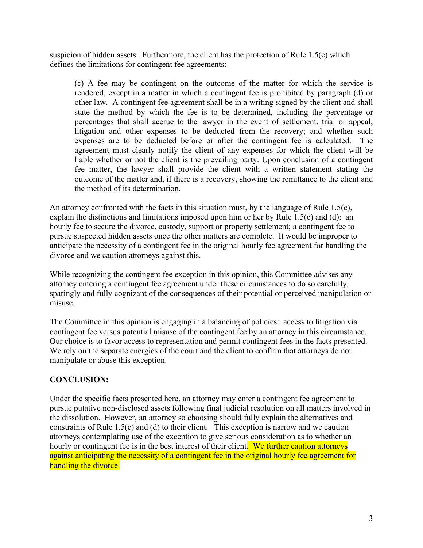suspicion of hidden assets. Furthermore, the client has the protection of Rule 1.5(c) which defines the limitations for contingent fee agreements:

(c) A fee may be contingent on the outcome of the matter for which the service is rendered, except in a matter in which a contingent fee is prohibited by paragraph (d) or other law. A contingent fee agreement shall be in a writing signed by the client and shall state the method by which the fee is to be determined, including the percentage or percentages that shall accrue to the lawyer in the event of settlement, trial or appeal; litigation and other expenses to be deducted from the recovery; and whether such expenses are to be deducted before or after the contingent fee is calculated. The agreement must clearly notify the client of any expenses for which the client will be liable whether or not the client is the prevailing party. Upon conclusion of a contingent fee matter, the lawyer shall provide the client with a written statement stating the outcome of the matter and, if there is a recovery, showing the remittance to the client and the method of its determination.

An attorney confronted with the facts in this situation must, by the language of Rule 1.5(c), explain the distinctions and limitations imposed upon him or her by Rule 1.5(c) and (d): an hourly fee to secure the divorce, custody, support or property settlement; a contingent fee to pursue suspected hidden assets once the other matters are complete. It would be improper to anticipate the necessity of a contingent fee in the original hourly fee agreement for handling the divorce and we caution attorneys against this.

While recognizing the contingent fee exception in this opinion, this Committee advises any attorney entering a contingent fee agreement under these circumstances to do so carefully, sparingly and fully cognizant of the consequences of their potential or perceived manipulation or misuse.

The Committee in this opinion is engaging in a balancing of policies: access to litigation via contingent fee versus potential misuse of the contingent fee by an attorney in this circumstance. Our choice is to favor access to representation and permit contingent fees in the facts presented. We rely on the separate energies of the court and the client to confirm that attorneys do not manipulate or abuse this exception.

### **CONCLUSION:**

Under the specific facts presented here, an attorney may enter a contingent fee agreement to pursue putative non-disclosed assets following final judicial resolution on all matters involved in the dissolution. However, an attorney so choosing should fully explain the alternatives and constraints of Rule 1.5(c) and (d) to their client. This exception is narrow and we caution attorneys contemplating use of the exception to give serious consideration as to whether an hourly or contingent fee is in the best interest of their client. We further caution attorneys against anticipating the necessity of a contingent fee in the original hourly fee agreement for handling the divorce.